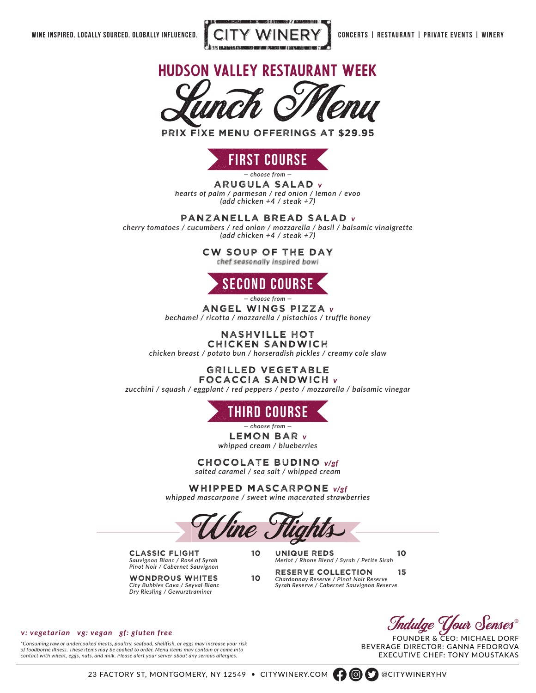



prix fixe menu offerings at \$29.95



*— choose from —*

ARUGULA SALAD *v hearts of palm / parmesan / red onion / lemon / evoo (add chicken +4 / steak +7)*

PANZANELLA BREAD SALAD *v*

*cherry tomatoes / cucumbers / red onion / mozzarella / basil / balsamic vinaigrette (add chicken +4 / steak +7)*

CW SOUP OF THE DAY<br>
chef seasonally inspired bowl



*— choose from —*

ANGEL WINGS PIZZA *v bechamel / ricotta / mozzarella / pistachios / truffle honey*

## NASHVILLE HOT

CHICKEN SANDWICH *chicken breast / potato bun / horseradish pickles / creamy cole slaw*

## GRILLED VEGETABLE FOCACCIA SANDWICH *v*

*zucchini / squash / eggplant / red peppers / pesto / mozzarella / balsamic vinegar*



LEMON BAR *v whipped cream / blueberries — choose from —*

CHOCOLATE BUDINO *v/gf salted caramel / sea salt / whipped cream*

WHIPPED MASCARPONE *v/gf whipped mascarpone / sweet wine macerated strawberries*

Wine Flights

classic flight 10 *Sauvignon Blanc / Rosé of Syrah Pinot Noir / Cabernet Sauvignon*

wondrous whites 10 *City Bubbles Cava / Seyval Blanc Dry Riesling / Gewurztraminer*

unique reds 10 *Merlot / Rhone Blend / Syrah / Petite Sirah*

reserve collection 15 *Chardonnay Reserve / Pinot Noir Reserve Syrah Reserve / Cabernet Sauvignon Reserve*

ndulge  $\mathcal T$ 

FOUNDER & CEO: MICHAEL DORF BEVERAGE DIRECTOR: GANNA FEDOROVA EXECUTIVE CHEF: TONY MOUSTAKAS

## *v: vegetarian vg: vegan gf: gluten free*

*\*Consuming raw or undercooked meats, poultry, seafood, shellfish, or eggs may increase your risk of foodborne illness. These items may be cooked to order. Menu items may contain or come into contact with wheat, eggs, nuts, and milk. Please alert your server about any serious allergies.*

23 FACTORY ST, MONTGOMERY, NY 12549 • CITYWINERY.COM **(2)** CITYWINERYHV